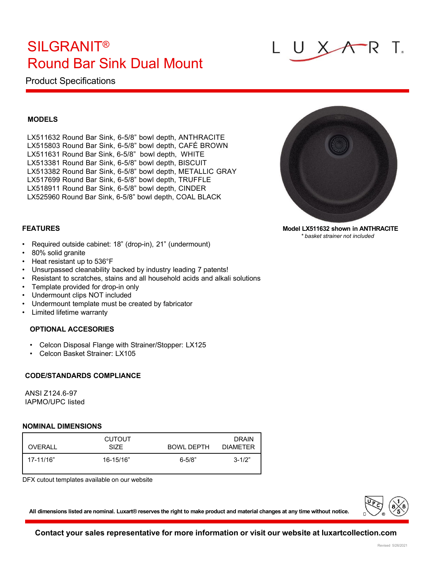# SILGRANIT® Round Bar Sink Dual Mount

## Product Specifications

#### **MODELS**

LX511632 Round Bar Sink, 6-5/8" bowl depth, ANTHRACITE LX515803 Round Bar Sink, 6-5/8" bowl depth, CAFÉ BROWN LX511631 Round Bar Sink, 6-5/8" bowl depth, WHITE LX513381 Round Bar Sink, 6-5/8" bowl depth, BISCUIT LX513382 Round Bar Sink, 6-5/8" bowl depth, METALLIC GRAY LX517699 Round Bar Sink, 6-5/8" bowl depth, TRUFFLE LX518911 Round Bar Sink, 6-5/8" bowl depth, CINDER LX525960 Round Bar Sink, 6-5/8" bowl depth, COAL BLACK



**Model LX511632 shown in ANTHRACITE** *\* basket strainer not included*

### **FEATURES**

- Required outside cabinet: 18" (drop-in), 21" (undermount)
- 80% solid granite
- Heat resistant up to 536°F
- Unsurpassed cleanability backed by industry leading 7 patents!
- Resistant to scratches, stains and all household acids and alkali solutions
- Template provided for drop-in only
- Undermount clips NOT included
- Undermount template must be created by fabricator
- Limited lifetime warranty

#### **OPTIONAL ACCESORIES**

- Celcon Disposal Flange with Strainer/Stopper: LX125
- Celcon Basket Strainer: LX105

#### **CODE/STANDARDS COMPLIANCE**

ANSI Z124.6-97 IAPMO/UPC listed

#### **NOMINAL DIMENSIONS**

| OVERALL   | <b>CUTOUT</b><br><b>SIZE</b> | BOWL DEPTH  | <b>DRAIN</b><br><b>DIAMETER</b> |
|-----------|------------------------------|-------------|---------------------------------|
| 17-11/16" | 16-15/16"                    | $6 - 5/8$ " | $3 - 1/2"$                      |

DFX cutout templates available on our website



All dimensions listed are nominal. Luxart® reserves the right to make product and material changes at any time without notice.

### **Contact your sales representative for more information or visit our website at luxartcollection.com**